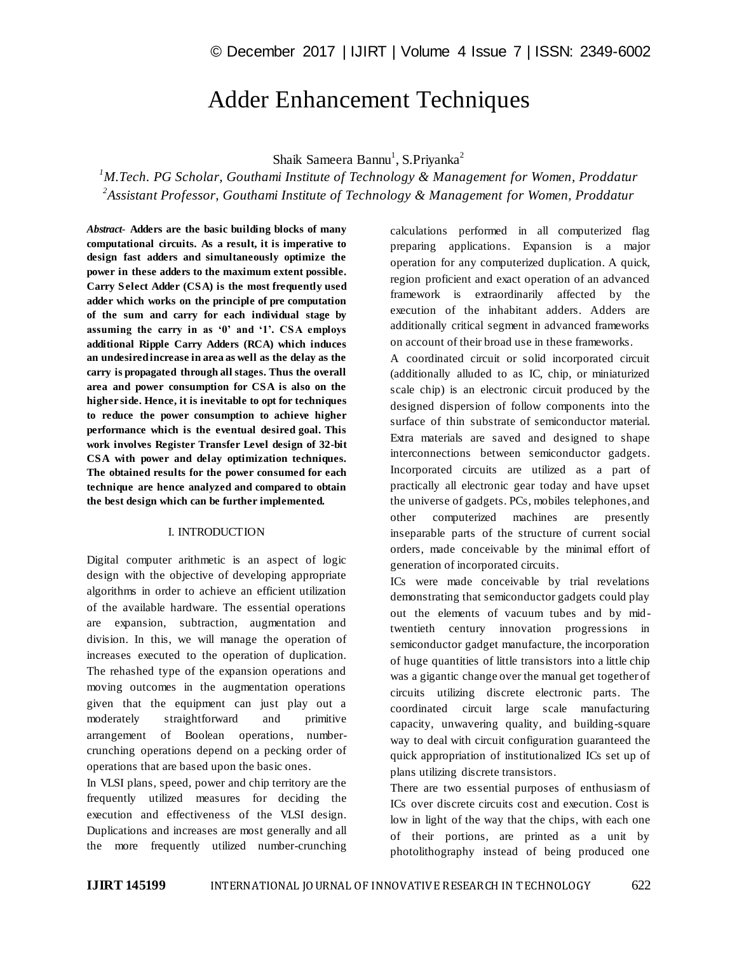# Adder Enhancement Techniques

Shaik Sameera Bannu<sup>1</sup>, S.Priyanka<sup>2</sup>

*<sup>1</sup>M.Tech. PG Scholar, Gouthami Institute of Technology & Management for Women, Proddatur 2 Assistant Professor, Gouthami Institute of Technology & Management for Women, Proddatur*

*Abstract*- **Adders are the basic building blocks of many computational circuits. As a result, it is imperative to design fast adders and simultaneously optimize the power in these adders to the maximum extent possible. Carry Select Adder (CSA) is the most frequently used adder which works on the principle of pre computation of the sum and carry for each individual stage by assuming the carry in as '0' and '1'. CSA employs additional Ripple Carry Adders (RCA) which induces an undesired increase in area as well as the delay as the carry is propagated through all stages. Thus the overall area and power consumption for CSA is also on the higher side. Hence, it is inevitable to opt for techniques to reduce the power consumption to achieve higher performance which is the eventual desired goal. This work involves Register Transfer Level design of 32-bit CSA with power and delay optimization techniques. The obtained results for the power consumed for each technique are hence analyzed and compared to obtain the best design which can be further implemented.**

#### I. INTRODUCTION

Digital computer arithmetic is an aspect of logic design with the objective of developing appropriate algorithms in order to achieve an efficient utilization of the available hardware. The essential operations are expansion, subtraction, augmentation and division. In this, we will manage the operation of increases executed to the operation of duplication. The rehashed type of the expansion operations and moving outcomes in the augmentation operations given that the equipment can just play out a moderately straightforward and primitive arrangement of Boolean operations, numbercrunching operations depend on a pecking order of operations that are based upon the basic ones.

In VLSI plans, speed, power and chip territory are the frequently utilized measures for deciding the execution and effectiveness of the VLSI design. Duplications and increases are most generally and all the more frequently utilized number-crunching

calculations performed in all computerized flag preparing applications. Expansion is a major operation for any computerized duplication. A quick, region proficient and exact operation of an advanced framework is extraordinarily affected by the execution of the inhabitant adders. Adders are additionally critical segment in advanced frameworks on account of their broad use in these frameworks.

A coordinated circuit or solid incorporated circuit (additionally alluded to as IC, chip, or miniaturized scale chip) is an electronic circuit produced by the designed dispersion of follow components into the surface of thin substrate of semiconductor material. Extra materials are saved and designed to shape interconnections between semiconductor gadgets. Incorporated circuits are utilized as a part of practically all electronic gear today and have upset the universe of gadgets. PCs, mobiles telephones, and other computerized machines are presently inseparable parts of the structure of current social orders, made conceivable by the minimal effort of generation of incorporated circuits.

ICs were made conceivable by trial revelations demonstrating that semiconductor gadgets could play out the elements of vacuum tubes and by midtwentieth century innovation progressions in semiconductor gadget manufacture, the incorporation of huge quantities of little transistors into a little chip was a gigantic change over the manual get together of circuits utilizing discrete electronic parts. The coordinated circuit large scale manufacturing capacity, unwavering quality, and building-square way to deal with circuit configuration guaranteed the quick appropriation of institutionalized ICs set up of plans utilizing discrete transistors.

There are two essential purposes of enthusiasm of ICs over discrete circuits cost and execution. Cost is low in light of the way that the chips, with each one of their portions, are printed as a unit by photolithography instead of being produced one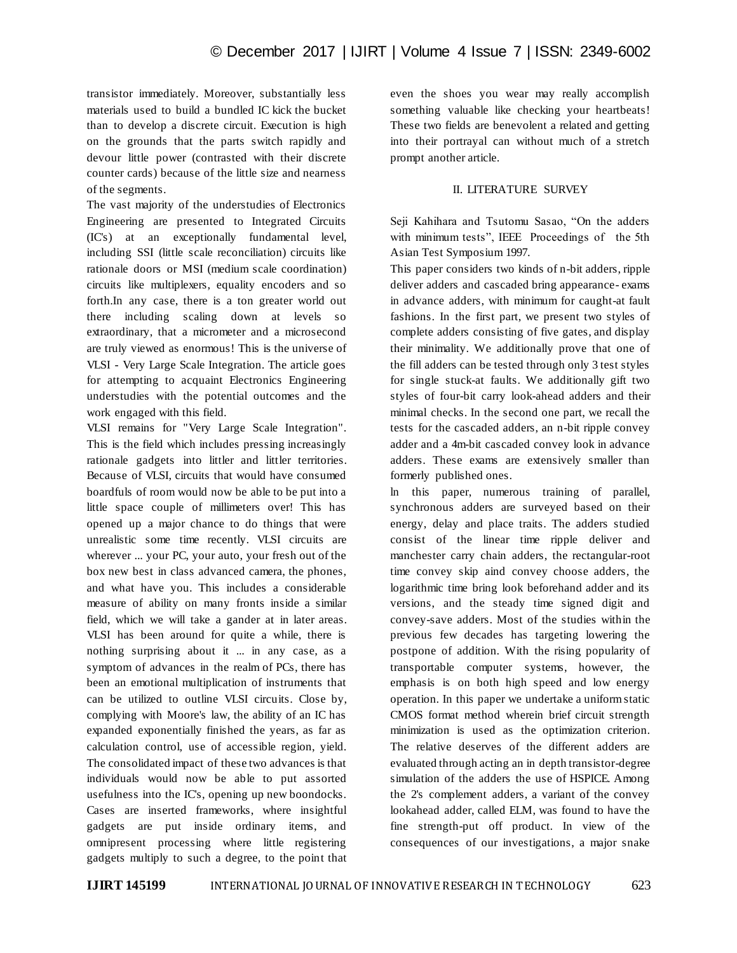transistor immediately. Moreover, substantially less materials used to build a bundled IC kick the bucket than to develop a discrete circuit. Execution is high on the grounds that the parts switch rapidly and devour little power (contrasted with their discrete counter cards) because of the little size and nearness of the segments.

The vast majority of the understudies of Electronics Engineering are presented to Integrated Circuits (IC's) at an exceptionally fundamental level, including SSI (little scale reconciliation) circuits like rationale doors or MSI (medium scale coordination) circuits like multiplexers, equality encoders and so forth.In any case, there is a ton greater world out there including scaling down at levels so extraordinary, that a micrometer and a microsecond are truly viewed as enormous! This is the universe of VLSI - Very Large Scale Integration. The article goes for attempting to acquaint Electronics Engineering understudies with the potential outcomes and the work engaged with this field.

VLSI remains for "Very Large Scale Integration". This is the field which includes pressing increasingly rationale gadgets into littler and littler territories. Because of VLSI, circuits that would have consumed boardfuls of room would now be able to be put into a little space couple of millimeters over! This has opened up a major chance to do things that were unrealistic some time recently. VLSI circuits are wherever ... your PC, your auto, your fresh out of the box new best in class advanced camera, the phones, and what have you. This includes a considerable measure of ability on many fronts inside a similar field, which we will take a gander at in later areas. VLSI has been around for quite a while, there is nothing surprising about it ... in any case, as a symptom of advances in the realm of PCs, there has been an emotional multiplication of instruments that can be utilized to outline VLSI circuits. Close by, complying with Moore's law, the ability of an IC has expanded exponentially finished the years, as far as calculation control, use of accessible region, yield. The consolidated impact of these two advances is that individuals would now be able to put assorted usefulness into the IC's, opening up new boondocks. Cases are inserted frameworks, where insightful gadgets are put inside ordinary items, and omnipresent processing where little registering gadgets multiply to such a degree, to the point that

even the shoes you wear may really accomplish something valuable like checking your heartbeats! These two fields are benevolent a related and getting into their portrayal can without much of a stretch prompt another article.

## II. LITERATURE SURVEY

Seji Kahihara and Tsutomu Sasao, "On the adders with minimum tests", IEEE Proceedings of the 5th Asian Test Symposium 1997.

This paper considers two kinds of n-bit adders, ripple deliver adders and cascaded bring appearance- exams in advance adders, with minimum for caught-at fault fashions. In the first part, we present two styles of complete adders consisting of five gates, and display their minimality. We additionally prove that one of the fill adders can be tested through only 3 test styles for single stuck-at faults. We additionally gift two styles of four-bit carry look-ahead adders and their minimal checks. In the second one part, we recall the tests for the cascaded adders, an n-bit ripple convey adder and a 4m-bit cascaded convey look in advance adders. These exams are extensively smaller than formerly published ones.

ln this paper, numerous training of parallel, synchronous adders are surveyed based on their energy, delay and place traits. The adders studied consist of the linear time ripple deliver and manchester carry chain adders, the rectangular-root time convey skip aind convey choose adders, the logarithmic time bring look beforehand adder and its versions, and the steady time signed digit and convey-save adders. Most of the studies within the previous few decades has targeting lowering the postpone of addition. With the rising popularity of transportable computer systems, however, the emphasis is on both high speed and low energy operation. In this paper we undertake a uniform static CMOS format method wherein brief circuit strength minimization is used as the optimization criterion. The relative deserves of the different adders are evaluated through acting an in depth transistor-degree simulation of the adders the use of HSPICE. Among the 2's complement adders, a variant of the convey lookahead adder, called ELM, was found to have the fine strength-put off product. In view of the consequences of our investigations, a major snake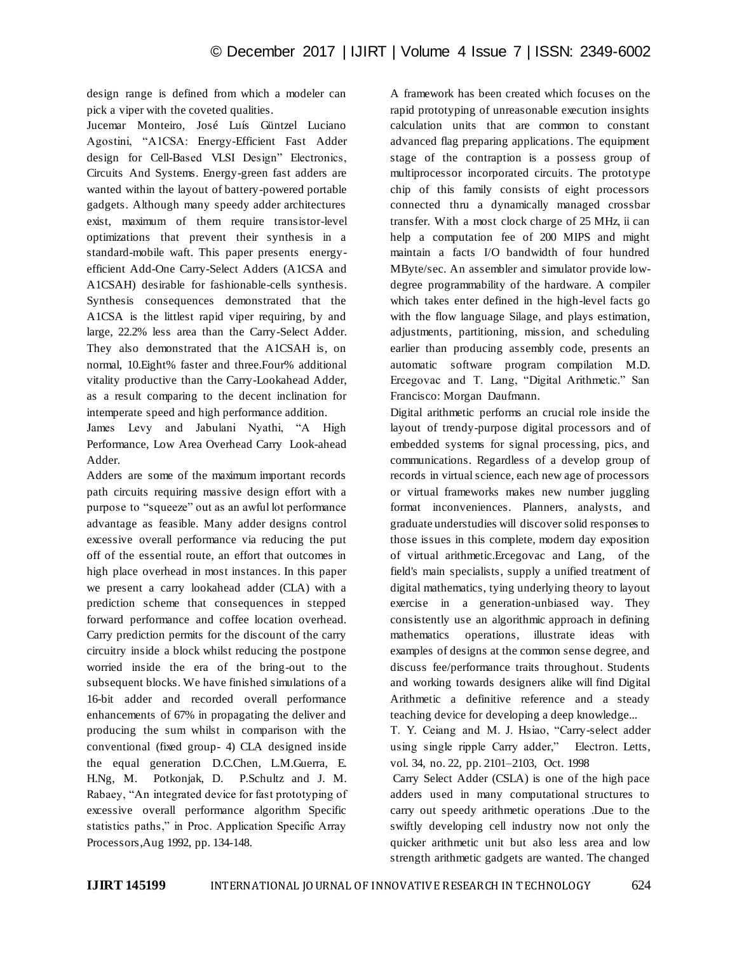design range is defined from which a modeler can pick a viper with the coveted qualities.

Jucemar Monteiro, José Luís Güntzel Luciano Agostini, "A1CSA: Energy-Efficient Fast Adder design for Cell-Based VLSI Design" Electronics, Circuits And Systems. Energy-green fast adders are wanted within the layout of battery-powered portable gadgets. Although many speedy adder architectures exist, maximum of them require transistor-level optimizations that prevent their synthesis in a standard-mobile waft. This paper presents energyefficient Add-One Carry-Select Adders (A1CSA and A1CSAH) desirable for fashionable-cells synthesis. Synthesis consequences demonstrated that the A1CSA is the littlest rapid viper requiring, by and large, 22.2% less area than the Carry-Select Adder. They also demonstrated that the A1CSAH is, on normal, 10.Eight% faster and three.Four% additional vitality productive than the Carry-Lookahead Adder, as a result comparing to the decent inclination for intemperate speed and high performance addition.

James Levy and Jabulani Nyathi, "A High Performance, Low Area Overhead Carry Look-ahead Adder.

Adders are some of the maximum important records path circuits requiring massive design effort with a purpose to "squeeze" out as an awful lot performance advantage as feasible. Many adder designs control excessive overall performance via reducing the put off of the essential route, an effort that outcomes in high place overhead in most instances. In this paper we present a carry lookahead adder (CLA) with a prediction scheme that consequences in stepped forward performance and coffee location overhead. Carry prediction permits for the discount of the carry circuitry inside a block whilst reducing the postpone worried inside the era of the bring-out to the subsequent blocks. We have finished simulations of a 16-bit adder and recorded overall performance enhancements of 67% in propagating the deliver and producing the sum whilst in comparison with the conventional (fixed group- 4) CLA designed inside the equal generation D.C.Chen, L.M.Guerra, E. H.Ng, M. Potkonjak, D. P.Schultz and J. M. Rabaey, "An integrated device for fast prototyping of excessive overall performance algorithm Specific statistics paths," in Proc. Application Specific Array Processors,Aug 1992, pp. 134-148.

A framework has been created which focus es on the rapid prototyping of unreasonable execution insights calculation units that are common to constant advanced flag preparing applications. The equipment stage of the contraption is a possess group of multiprocessor incorporated circuits. The prototype chip of this family consists of eight processors connected thru a dynamically managed crossbar transfer. With a most clock charge of 25 MHz, ii can help a computation fee of 200 MIPS and might maintain a facts I/O bandwidth of four hundred MByte/sec. An assembler and simulator provide lowdegree programmability of the hardware. A compiler which takes enter defined in the high-level facts go with the flow language Silage, and plays estimation, adjustments, partitioning, mission, and scheduling earlier than producing assembly code, presents an automatic software program compilation M.D. Ercegovac and T. Lang, "Digital Arithmetic." San Francisco: Morgan Daufmann.

Digital arithmetic performs an crucial role inside the layout of trendy-purpose digital processors and of embedded systems for signal processing, pics, and communications. Regardless of a develop group of records in virtual science, each new age of processors or virtual frameworks makes new number juggling format inconveniences. Planners, analysts, and graduate understudies will discover solid responses to those issues in this complete, modern day exposition of virtual arithmetic.Ercegovac and Lang, of the field's main specialists, supply a unified treatment of digital mathematics, tying underlying theory to layout exercise in a generation-unbiased way. They consistently use an algorithmic approach in defining mathematics operations, illustrate ideas with examples of designs at the common sense degree, and discuss fee/performance traits throughout. Students and working towards designers alike will find Digital Arithmetic a definitive reference and a steady teaching device for developing a deep knowledge...

T. Y. Ceiang and M. J. Hsiao, "Carry-select adder using single ripple Carry adder," Electron. Letts, vol. 34, no. 22, pp. 2101–2103, Oct. 1998

Carry Select Adder (CSLA) is one of the high pace adders used in many computational structures to carry out speedy arithmetic operations .Due to the swiftly developing cell industry now not only the quicker arithmetic unit but also less area and low strength arithmetic gadgets are wanted. The changed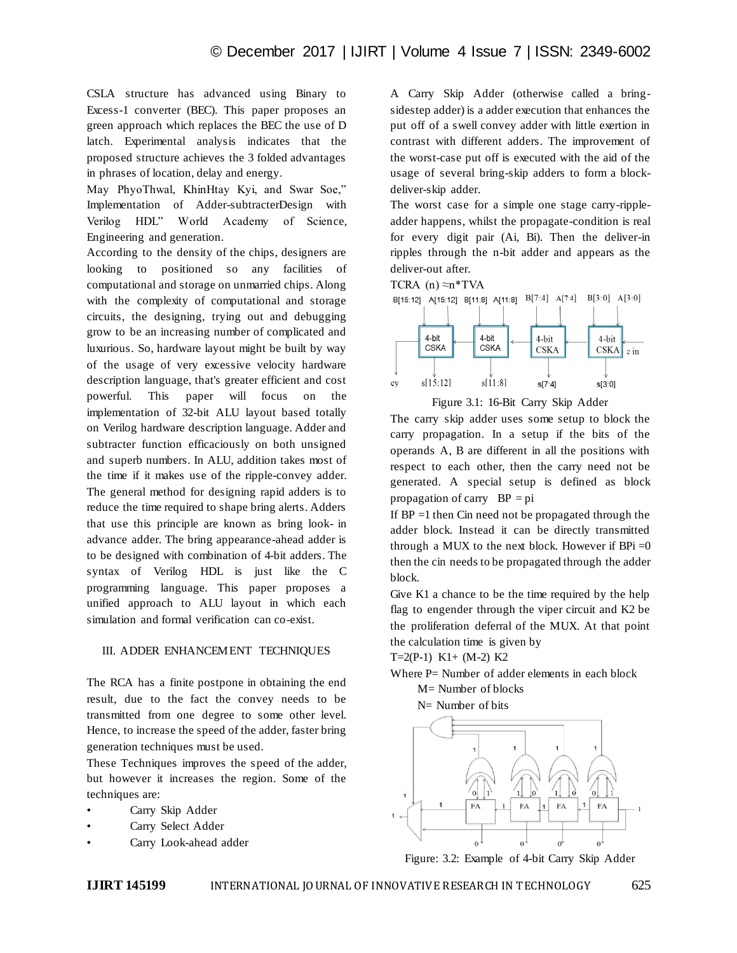CSLA structure has advanced using Binary to Excess-1 converter (BEC). This paper proposes an green approach which replaces the BEC the use of D latch. Experimental analysis indicates that the proposed structure achieves the 3 folded advantages in phrases of location, delay and energy.

May PhyoThwal, KhinHtay Kyi, and Swar Soe," Implementation of Adder-subtracterDesign with Verilog HDL" World Academy of Science, Engineering and generation.

According to the density of the chips, designers are looking to positioned so any facilities of computational and storage on unmarried chips. Along with the complexity of computational and storage circuits, the designing, trying out and debugging grow to be an increasing number of complicated and luxurious. So, hardware layout might be built by way of the usage of very excessive velocity hardware description language, that's greater efficient and cost powerful. This paper will focus on the implementation of 32-bit ALU layout based totally on Verilog hardware description language. Adder and subtracter function efficaciously on both unsigned and superb numbers. In ALU, addition takes most of the time if it makes use of the ripple-convey adder. The general method for designing rapid adders is to reduce the time required to shape bring alerts. Adders that use this principle are known as bring look- in advance adder. The bring appearance-ahead adder is to be designed with combination of 4-bit adders. The syntax of Verilog HDL is just like the C programming language. This paper proposes a unified approach to ALU layout in which each simulation and formal verification can co-exist.

#### III. ADDER ENHANCEMENT TECHNIQUES

The RCA has a finite postpone in obtaining the end result, due to the fact the convey needs to be transmitted from one degree to some other level. Hence, to increase the speed of the adder, faster bring generation techniques must be used.

These Techniques improves the speed of the adder, but however it increases the region. Some of the techniques are:

- Carry Skip Adder
- Carry Select Adder
- Carry Look-ahead adder

A Carry Skip Adder (otherwise called a bringsidestep adder) is a adder execution that enhances the put off of a swell convey adder with little exertion in contrast with different adders. The improvement of the worst-case put off is executed with the aid of the usage of several bring-skip adders to form a blockdeliver-skip adder.

The worst case for a simple one stage carry-rippleadder happens, whilst the propagate-condition is real for every digit pair (Ai, Bi). Then the deliver-in ripples through the n-bit adder and appears as the deliver-out after.





Figure 3.1: 16-Bit Carry Skip Adder

The carry skip adder uses some setup to block the carry propagation. In a setup if the bits of the operands A, B are different in all the positions with respect to each other, then the carry need not be generated. A special setup is defined as block propagation of carry  $BP = pi$ 

If  $BP = 1$  then Cin need not be propagated through the adder block. Instead it can be directly transmitted through a MUX to the next block. However if  $BPi = 0$ then the cin needs to be propagated through the adder block.

Give K1 a chance to be the time required by the help flag to engender through the viper circuit and K2 be the proliferation deferral of the MUX. At that point the calculation time is given by

T=2(P-1) K1+ (M-2) K2

Where P= Number of adder elements in each block M= Number of blocks

N= Number of bits



Figure: 3.2: Example of 4-bit Carry Skip Adder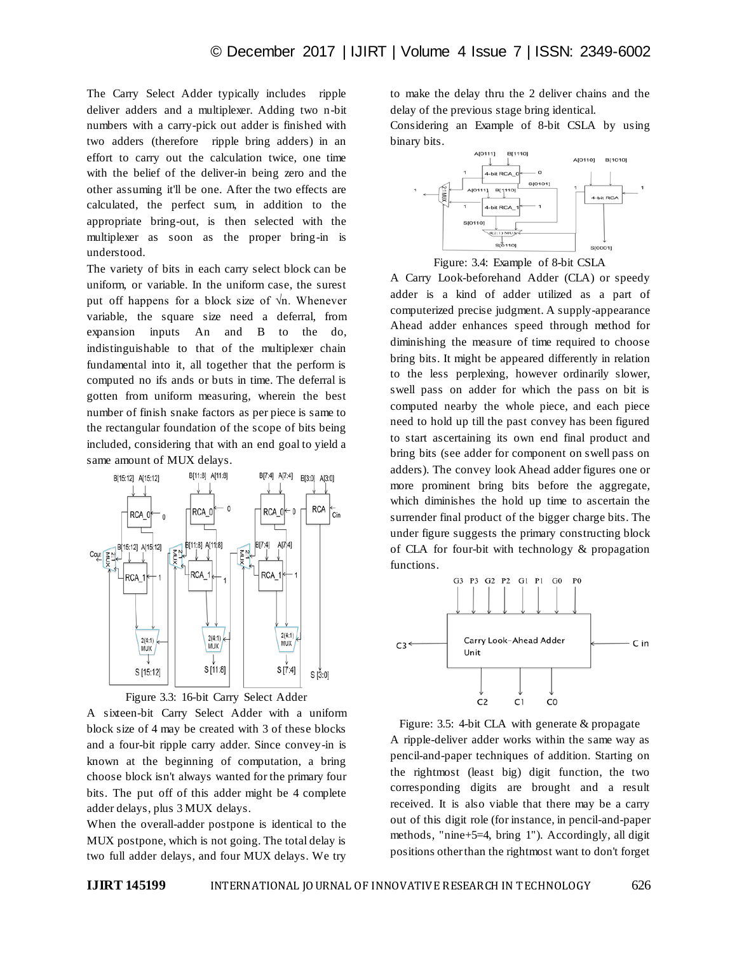The Carry Select Adder typically includes ripple deliver adders and a multiplexer. Adding two n-bit numbers with a carry-pick out adder is finished with two adders (therefore ripple bring adders) in an effort to carry out the calculation twice, one time with the belief of the deliver-in being zero and the other assuming it'll be one. After the two effects are calculated, the perfect sum, in addition to the appropriate bring-out, is then selected with the multiplexer as soon as the proper bring-in is understood.

The variety of bits in each carry select block can be uniform, or variable. In the uniform case, the surest put off happens for a block size of  $\sqrt{n}$ . Whenever variable, the square size need a deferral, from expansion inputs An and B to the do, indistinguishable to that of the multiplexer chain fundamental into it, all together that the perform is computed no ifs ands or buts in time. The deferral is gotten from uniform measuring, wherein the best number of finish snake factors as per piece is same to the rectangular foundation of the scope of bits being included, considering that with an end goal to yield a same amount of MUX delays.



Figure 3.3: 16-bit Carry Select Adder

A sixteen-bit Carry Select Adder with a uniform block size of 4 may be created with 3 of these blocks and a four-bit ripple carry adder. Since convey-in is known at the beginning of computation, a bring choose block isn't always wanted for the primary four bits. The put off of this adder might be 4 complete adder delays, plus 3 MUX delays.

When the overall-adder postpone is identical to the MUX postpone, which is not going. The total delay is two full adder delays, and four MUX delays. We try to make the delay thru the 2 deliver chains and the delay of the previous stage bring identical.

Considering an Example of 8-bit CSLA by using binary bits.



Figure: 3.4: Example of 8-bit CSLA

A Carry Look-beforehand Adder (CLA) or speedy adder is a kind of adder utilized as a part of computerized precise judgment. A supply-appearance Ahead adder enhances speed through method for diminishing the measure of time required to choose bring bits. It might be appeared differently in relation to the less perplexing, however ordinarily slower, swell pass on adder for which the pass on bit is computed nearby the whole piece, and each piece need to hold up till the past convey has been figured to start ascertaining its own end final product and bring bits (see adder for component on swell pass on adders). The convey look Ahead adder figures one or more prominent bring bits before the aggregate, which diminishes the hold up time to ascertain the surrender final product of the bigger charge bits. The under figure suggests the primary constructing block of CLA for four-bit with technology & propagation functions.



Figure: 3.5: 4-bit CLA with generate & propagate A ripple-deliver adder works within the same way as pencil-and-paper techniques of addition. Starting on the rightmost (least big) digit function, the two corresponding digits are brought and a result received. It is also viable that there may be a carry out of this digit role (for instance, in pencil-and-paper methods, "nine+5=4, bring 1"). Accordingly, all digit positions other than the rightmost want to don't forget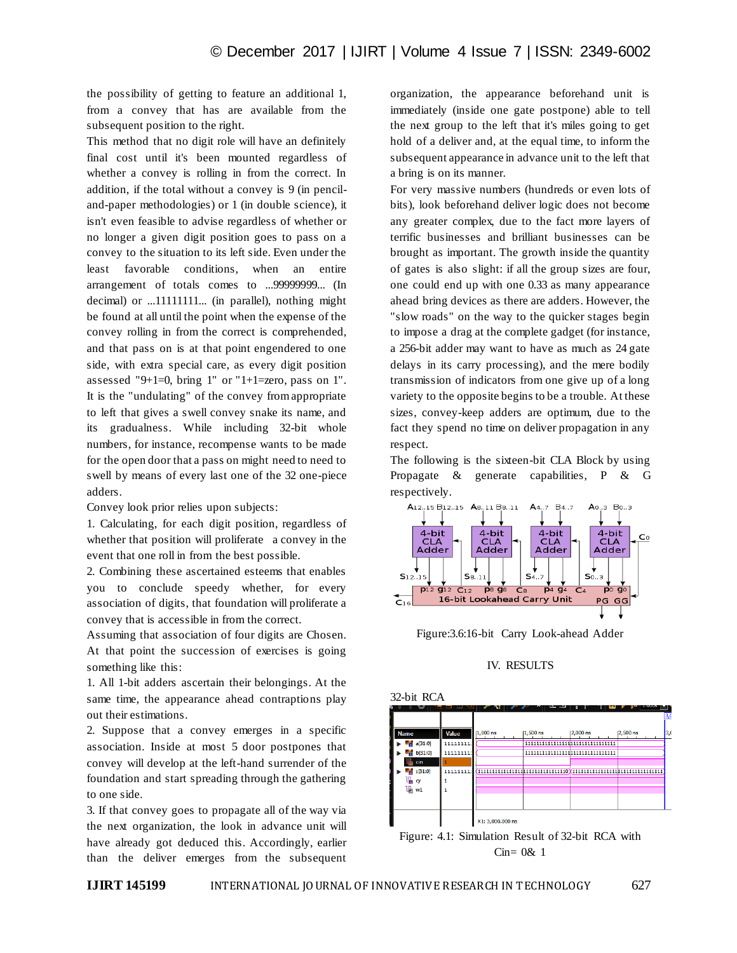the possibility of getting to feature an additional 1, from a convey that has are available from the subsequent position to the right.

This method that no digit role will have an definitely final cost until it's been mounted regardless of whether a convey is rolling in from the correct. In addition, if the total without a convey is 9 (in penciland-paper methodologies) or 1 (in double science), it isn't even feasible to advise regardless of whether or no longer a given digit position goes to pass on a convey to the situation to its left side. Even under the least favorable conditions, when an entire arrangement of totals comes to ...99999999... (In decimal) or ...11111111... (in parallel), nothing might be found at all until the point when the expense of the convey rolling in from the correct is comprehended, and that pass on is at that point engendered to one side, with extra special care, as every digit position assessed "9+1=0, bring 1" or "1+1=zero, pass on 1". It is the "undulating" of the convey from appropriate to left that gives a swell convey snake its name, and its gradualness. While including 32-bit whole numbers, for instance, recompense wants to be made for the open door that a pass on might need to need to swell by means of every last one of the 32 one-piece adders.

Convey look prior relies upon subjects:

1. Calculating, for each digit position, regardless of whether that position will proliferate a convey in the event that one roll in from the best possible.

2. Combining these ascertained esteems that enables you to conclude speedy whether, for every association of digits, that foundation will proliferate a convey that is accessible in from the correct.

Assuming that association of four digits are Chosen. At that point the succession of exercises is going something like this:

1. All 1-bit adders ascertain their belongings. At the same time, the appearance ahead contraptions play out their estimations.

2. Suppose that a convey emerges in a specific association. Inside at most 5 door postpones that convey will develop at the left-hand surrender of the foundation and start spreading through the gathering to one side.

3. If that convey goes to propagate all of the way via the next organization, the look in advance unit will have already got deduced this. Accordingly, earlier than the deliver emerges from the subsequent

organization, the appearance beforehand unit is immediately (inside one gate postpone) able to tell the next group to the left that it's miles going to get hold of a deliver and, at the equal time, to inform the subsequent appearance in advance unit to the left that a bring is on its manner.

For very massive numbers (hundreds or even lots of bits), look beforehand deliver logic does not become any greater complex, due to the fact more layers of terrific businesses and brilliant businesses can be brought as important. The growth inside the quantity of gates is also slight: if all the group sizes are four, one could end up with one 0.33 as many appearance ahead bring devices as there are adders. However, the "slow roads" on the way to the quicker stages begin to impose a drag at the complete gadget (for instance, a 256-bit adder may want to have as much as 24 gate delays in its carry processing), and the mere bodily transmission of indicators from one give up of a long variety to the opposite begins to be a trouble. At these sizes, convey-keep adders are optimum, due to the fact they spend no time on deliver propagation in any respect.

The following is the sixteen-bit CLA Block by using Propagate & generate capabilities, P & G respectively.



Figure:3.6:16-bit Carry Look-ahead Adder

#### IV. RESULTS



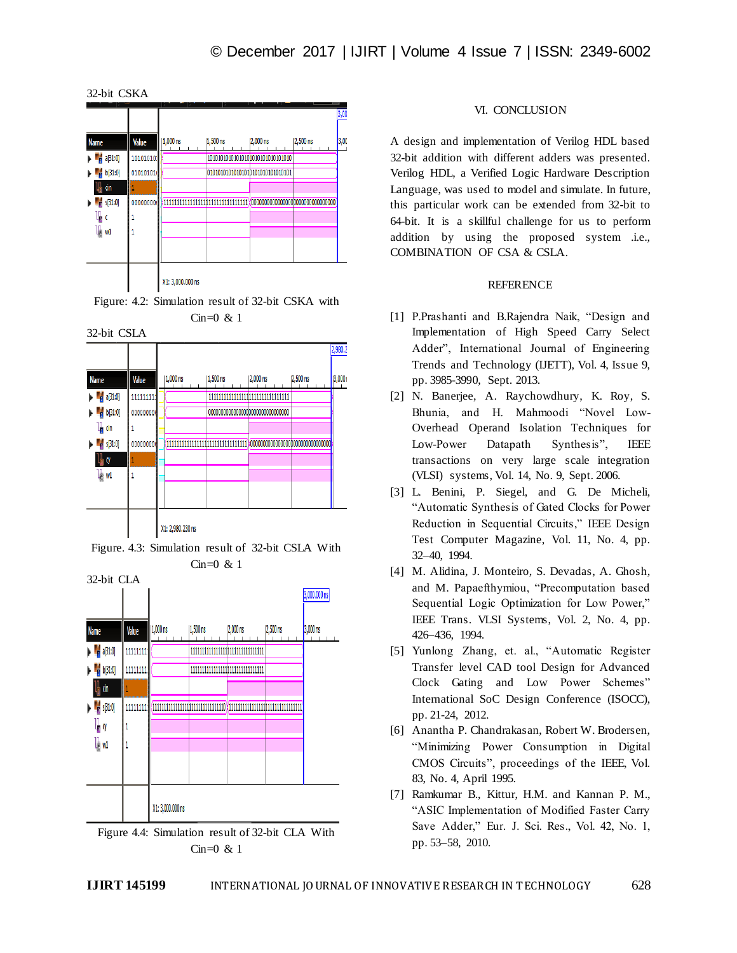











### VI. CONCLUSION

A design and implementation of Verilog HDL based 32-bit addition with different adders was presented. Verilog HDL, a Verified Logic Hardware Description Language, was used to model and simulate. In future, this particular work can be extended from 32-bit to 64-bit. It is a skillful challenge for us to perform addition by using the proposed system .i.e., COMBINATION OF CSA & CSLA.

## REFERENCE

- [1] P.Prashanti and B.Rajendra Naik, "Design and Implementation of High Speed Carry Select Adder", International Journal of Engineering Trends and Technology (IJETT), Vol. 4, Issue 9, pp. 3985-3990, Sept. 2013.
- [2] N. Banerjee, A. Raychowdhury, K. Roy, S. Bhunia, and H. Mahmoodi "Novel Low-Overhead Operand Isolation Techniques for Low-Power Datapath Synthesis", IEEE transactions on very large scale integration (VLSI) systems, Vol. 14, No. 9, Sept. 2006.
- [3] L. Benini, P. Siegel, and G. De Micheli, "Automatic Synthesis of Gated Clocks for Power Reduction in Sequential Circuits," IEEE Design Test Computer Magazine, Vol. 11, No. 4, pp. 32–40, 1994.
- [4] M. Alidina, J. Monteiro, S. Devadas, A. Ghosh, and M. Papaefthymiou, "Precomputation based Sequential Logic Optimization for Low Power," IEEE Trans. VLSI Systems, Vol. 2, No. 4, pp. 426–436, 1994.
- [5] Yunlong Zhang, et. al., "Automatic Register Transfer level CAD tool Design for Advanced Clock Gating and Low Power Schemes" International SoC Design Conference (ISOCC), pp. 21-24, 2012.
- [6] Anantha P. Chandrakasan, Robert W. Brodersen, "Minimizing Power Consumption in Digital CMOS Circuits", proceedings of the IEEE, Vol. 83, No. 4, April 1995.
- [7] Ramkumar B., Kittur, H.M. and Kannan P. M., "ASIC Implementation of Modified Faster Carry Save Adder," Eur. J. Sci. Res., Vol. 42, No. 1, pp. 53–58, 2010.